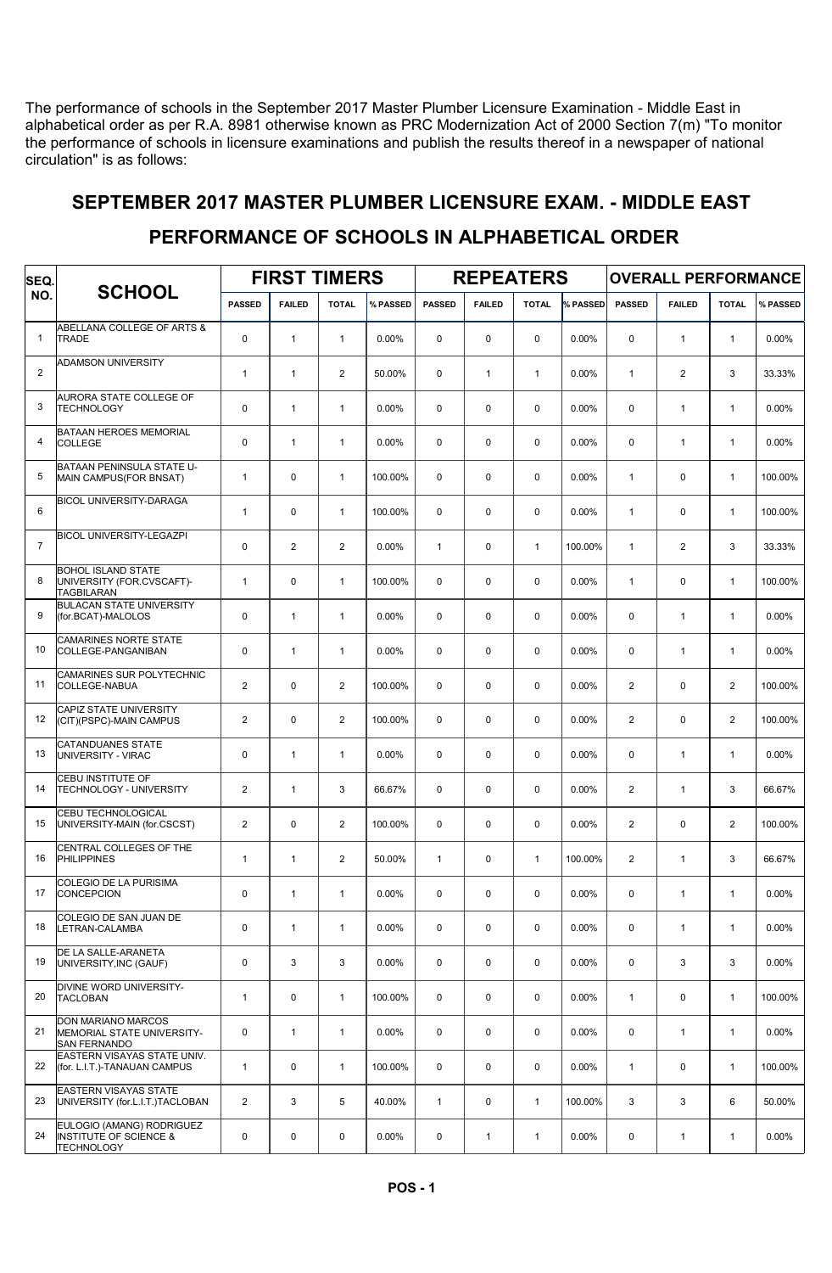The performance of schools in the September 2017 Master Plumber Licensure Examination - Middle East in alphabetical order as per R.A. 8981 otherwise known as PRC Modernization Act of 2000 Section 7(m) "To monitor the performance of schools in licensure examinations and publish the results thereof in a newspaper of national circulation" is as follows:

#### SEPTEMBER 2017 MASTER PLUMBER LICENSURE EXAM. - MIDDLE EAST

| SEQ.            |                                                                                     | <b>FIRST TIMERS</b> |               |              |          |               | <b>REPEATERS</b> |              |          | <b>OVERALL PERFORMANCE</b> |                |                |          |  |
|-----------------|-------------------------------------------------------------------------------------|---------------------|---------------|--------------|----------|---------------|------------------|--------------|----------|----------------------------|----------------|----------------|----------|--|
| NO.             | <b>SCHOOL</b>                                                                       | <b>PASSED</b>       | <b>FAILED</b> | <b>TOTAL</b> | % PASSED | <b>PASSED</b> | <b>FAILED</b>    | <b>TOTAL</b> | % PASSED | <b>PASSED</b>              | <b>FAILED</b>  | <b>TOTAL</b>   | % PASSED |  |
| $\mathbf{1}$    | ABELLANA COLLEGE OF ARTS &<br><b>TRADE</b>                                          | 0                   | $\mathbf{1}$  | $\mathbf{1}$ | 0.00%    | 0             | 0                | $\mathbf 0$  | 0.00%    | 0                          | $\mathbf{1}$   | $\mathbf{1}$   | 0.00%    |  |
| $\overline{2}$  | <b>ADAMSON UNIVERSITY</b>                                                           | $\mathbf{1}$        | $\mathbf{1}$  | 2            | 50.00%   | 0             | $\mathbf{1}$     | $\mathbf{1}$ | 0.00%    | $\mathbf{1}$               | $\overline{2}$ | 3              | 33.33%   |  |
| 3               | AURORA STATE COLLEGE OF<br><b>TECHNOLOGY</b>                                        | 0                   | $\mathbf{1}$  | $\mathbf{1}$ | 0.00%    | $\mathbf 0$   | 0                | $\mathbf 0$  | 0.00%    | 0                          | $\mathbf{1}$   | $\mathbf{1}$   | 0.00%    |  |
| 4               | <b>BATAAN HEROES MEMORIAL</b><br><b>COLLEGE</b>                                     | $\mathbf 0$         | $\mathbf{1}$  | $\mathbf{1}$ | 0.00%    | 0             | $\mathbf 0$      | $\mathbf 0$  | 0.00%    | 0                          | $\mathbf{1}$   | $\mathbf{1}$   | 0.00%    |  |
| 5               | BATAAN PENINSULA STATE U-<br>MAIN CAMPUS(FOR BNSAT)                                 | $\mathbf{1}$        | $\mathbf 0$   | $\mathbf{1}$ | 100.00%  | 0             | 0                | $\mathbf 0$  | 0.00%    | $\mathbf{1}$               | 0              | $\mathbf{1}$   | 100.00%  |  |
| 6               | <b>BICOL UNIVERSITY-DARAGA</b>                                                      | $\mathbf{1}$        | 0             | $\mathbf{1}$ | 100.00%  | 0             | 0                | $\mathbf 0$  | 0.00%    | $\mathbf{1}$               | 0              | $\mathbf{1}$   | 100.00%  |  |
| $\overline{7}$  | <b>BICOL UNIVERSITY-LEGAZPI</b>                                                     | $\mathbf 0$         | $\mathbf{2}$  | 2            | 0.00%    | $\mathbf{1}$  | 0                | $\mathbf{1}$ | 100.00%  | $\mathbf{1}$               | $\mathbf{2}$   | 3              | 33.33%   |  |
| 8               | <b>BOHOL ISLAND STATE</b><br>UNIVERSITY (FOR.CVSCAFT)-<br><b>TAGBILARAN</b>         | $\mathbf{1}$        | $\mathbf 0$   | $\mathbf{1}$ | 100.00%  | $\mathbf 0$   | $\pmb{0}$        | $\mathbf 0$  | 0.00%    | $\mathbf{1}$               | 0              | $\mathbf{1}$   | 100.00%  |  |
| 9               | <b>BULACAN STATE UNIVERSITY</b><br>(for.BCAT)-MALOLOS                               | $\mathbf 0$         | $\mathbf{1}$  | $\mathbf{1}$ | 0.00%    | $\mathbf 0$   | 0                | $\mathbf 0$  | 0.00%    | 0                          | $\mathbf{1}$   | $\mathbf{1}$   | 0.00%    |  |
| 10              | CAMARINES NORTE STATE<br>COLLEGE-PANGANIBAN                                         | $\mathbf 0$         | $\mathbf{1}$  | $\mathbf{1}$ | 0.00%    | 0             | $\mathbf 0$      | $\mathbf 0$  | 0.00%    | 0                          | $\mathbf{1}$   | $\mathbf{1}$   | 0.00%    |  |
| 11              | CAMARINES SUR POLYTECHNIC<br>COLLEGE-NABUA                                          | 2                   | $\mathbf 0$   | 2            | 100.00%  | $\mathbf 0$   | $\mathbf 0$      | $\mathbf 0$  | 0.00%    | $\overline{2}$             | 0              | $\overline{2}$ | 100.00%  |  |
| 12 <sup>2</sup> | CAPIZ STATE UNIVERSITY<br>(CIT)(PSPC)-MAIN CAMPUS                                   | $\overline{2}$      | $\mathbf 0$   | 2            | 100.00%  | 0             | 0                | $\mathbf 0$  | 0.00%    | $\mathbf{2}$               | 0              | $\overline{2}$ | 100.00%  |  |
| 13              | CATANDUANES STATE<br>UNIVERSITY - VIRAC                                             | $\mathbf 0$         | $\mathbf{1}$  | $\mathbf{1}$ | 0.00%    | 0             | 0                | $\mathbf 0$  | 0.00%    | 0                          | $\mathbf{1}$   | $\mathbf{1}$   | 0.00%    |  |
| 14              | CEBU INSTITUTE OF<br>TECHNOLOGY - UNIVERSITY                                        | $\overline{2}$      | $\mathbf{1}$  | 3            | 66.67%   | 0             | $\mathbf 0$      | $\mathbf 0$  | 0.00%    | $\mathbf{2}$               | $\mathbf{1}$   | 3              | 66.67%   |  |
| 15              | CEBU TECHNOLOGICAL<br>UNIVERSITY-MAIN (for.CSCST)                                   | $\overline{2}$      | $\mathbf 0$   | 2            | 100.00%  | 0             | 0                | $\mathbf 0$  | 0.00%    | 2                          | 0              | $\mathbf{2}$   | 100.00%  |  |
| 16              | CENTRAL COLLEGES OF THE<br><b>PHILIPPINES</b>                                       | $\mathbf{1}$        | $\mathbf{1}$  | 2            | 50.00%   | $\mathbf{1}$  | 0                | $\mathbf{1}$ | 100.00%  | $\mathbf{2}$               | $\mathbf{1}$   | 3              | 66.67%   |  |
| 17              | COLEGIO DE LA PURISIMA<br><b>CONCEPCION</b>                                         | 0                   | $\mathbf{1}$  | $\mathbf{1}$ | 0.00%    | 0             | 0                | 0            | 0.00%    | 0                          | $\mathbf{1}$   | $\mathbf{1}$   | 0.00%    |  |
| 18              | COLEGIO DE SAN JUAN DE<br>LETRAN-CALAMBA                                            | 0                   | $\mathbf{1}$  | $\mathbf{1}$ | $0.00\%$ | 0             | 0                | 0            | 0.00%    | 0                          | $\mathbf{1}$   | $\mathbf{1}$   | $0.00\%$ |  |
| 19              | DE LA SALLE-ARANETA<br>UNIVERSITY, INC (GAUF)                                       | 0                   | 3             | 3            | $0.00\%$ | 0             | 0                | 0            | $0.00\%$ | 0                          | 3              | 3              | $0.00\%$ |  |
| 20              | DIVINE WORD UNIVERSITY-<br><b>TACLOBAN</b>                                          | $\mathbf{1}$        | 0             | $\mathbf{1}$ | 100.00%  | 0             | 0                | 0            | 0.00%    | $\mathbf{1}$               | 0              | $\mathbf{1}$   | 100.00%  |  |
| 21              | <b>DON MARIANO MARCOS</b><br>MEMORIAL STATE UNIVERSITY-<br><b>SAN FERNANDO</b>      | 0                   | $\mathbf{1}$  | $\mathbf{1}$ | $0.00\%$ | 0             | 0                | 0            | 0.00%    | 0                          | $\mathbf{1}$   | $\mathbf{1}$   | $0.00\%$ |  |
| 22              | EASTERN VISAYAS STATE UNIV.<br>(for. L.I.T.)-TANAUAN CAMPUS                         | $\mathbf{1}$        | 0             | $\mathbf{1}$ | 100.00%  | 0             | 0                | 0            | $0.00\%$ | $\mathbf{1}$               | 0              | $\mathbf{1}$   | 100.00%  |  |
| 23              | <b>EASTERN VISAYAS STATE</b><br>UNIVERSITY (for.L.I.T.)TACLOBAN                     | $\overline{2}$      | 3             | 5            | 40.00%   | $\mathbf{1}$  | 0                | $\mathbf{1}$ | 100.00%  | 3                          | 3              | 6              | 50.00%   |  |
| 24              | EULOGIO (AMANG) RODRIGUEZ<br><b>INSTITUTE OF SCIENCE &amp;</b><br><b>TECHNOLOGY</b> | 0                   | 0             | $\mathsf 0$  | $0.00\%$ | 0             | $\mathbf{1}$     | $\mathbf{1}$ | $0.00\%$ | 0                          | $\mathbf{1}$   | $\mathbf{1}$   | $0.00\%$ |  |

#### PERFORMANCE OF SCHOOLS IN ALPHABETICAL ORDER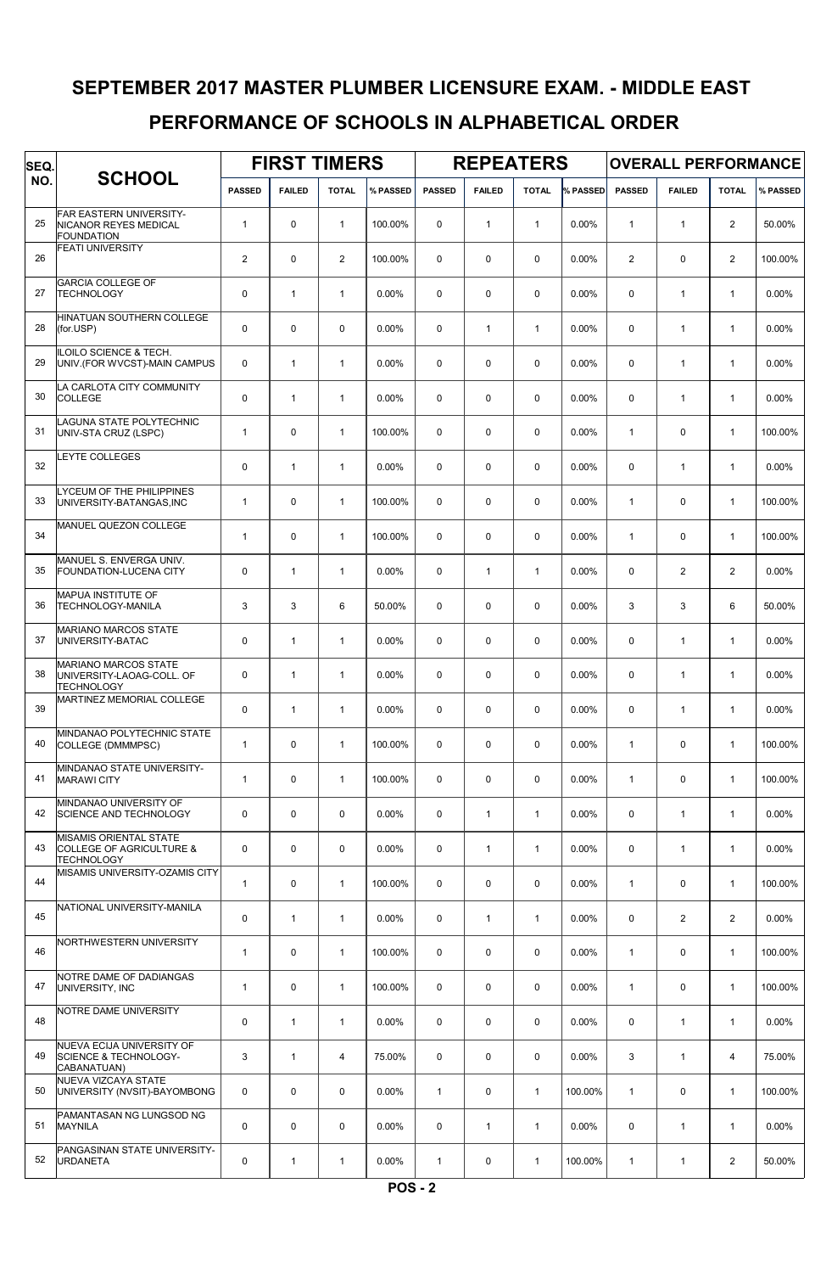# PERFORMANCE OF SCHOOLS IN ALPHABETICAL ORDER SEPTEMBER 2017 MASTER PLUMBER LICENSURE EXAM. - MIDDLE EAST

| SEQ. |                                                                                           | <b>FIRST TIMERS</b> |                |                |          |               |               | <b>REPEATERS</b> |          | <b>OVERALL PERFORMANCE</b> |                |                |          |  |
|------|-------------------------------------------------------------------------------------------|---------------------|----------------|----------------|----------|---------------|---------------|------------------|----------|----------------------------|----------------|----------------|----------|--|
| NO.  | <b>SCHOOL</b>                                                                             | <b>PASSED</b>       | <b>FAILED</b>  | <b>TOTAL</b>   | % PASSED | <b>PASSED</b> | <b>FAILED</b> | <b>TOTAL</b>     | % PASSED | <b>PASSED</b>              | <b>FAILED</b>  | <b>TOTAL</b>   | % PASSED |  |
| 25   | FAR EASTERN UNIVERSITY-<br><b>NICANOR REYES MEDICAL</b><br><b>FOUNDATION</b>              | $\mathbf{1}$        | $\Omega$       | $\mathbf{1}$   | 100.00%  | $\Omega$      | $\mathbf{1}$  | $\mathbf{1}$     | 0.00%    | $\mathbf{1}$               | $\mathbf{1}$   | $\overline{2}$ | 50.00%   |  |
| 26   | <b>FEATI UNIVERSITY</b>                                                                   | $\overline{2}$      | $\Omega$       | $\overline{2}$ | 100.00%  | $\Omega$      | $\mathbf 0$   | $\mathbf 0$      | 0.00%    | $\overline{2}$             | $\mathbf{0}$   | $\overline{2}$ | 100.00%  |  |
| 27   | <b>GARCIA COLLEGE OF</b><br><b>TECHNOLOGY</b>                                             | 0                   | $\mathbf{1}$   | $\mathbf{1}$   | 0.00%    | $\mathbf 0$   | $\mathbf 0$   | $\mathbf 0$      | 0.00%    | $\mathbf 0$                | $\mathbf{1}$   | $\mathbf{1}$   | 0.00%    |  |
| 28   | HINATUAN SOUTHERN COLLEGE<br>(for.USP)                                                    | 0                   | $\mathbf 0$    | $\mathsf 0$    | 0.00%    | $\mathbf 0$   | $\mathbf{1}$  | $\mathbf{1}$     | 0.00%    | 0                          | $\mathbf{1}$   | $\mathbf{1}$   | 0.00%    |  |
| 29   | ILOILO SCIENCE & TECH.<br>UNIV.(FOR WVCST)-MAIN CAMPUS                                    | 0                   | $\mathbf{1}$   | $\mathbf{1}$   | 0.00%    | $\mathbf 0$   | $\pmb{0}$     | $\mathbf 0$      | 0.00%    | 0                          | $\mathbf{1}$   | $\mathbf{1}$   | 0.00%    |  |
| 30   | LA CARLOTA CITY COMMUNITY<br><b>COLLEGE</b>                                               | $\mathbf 0$         | $\mathbf{1}$   | $\mathbf{1}$   | 0.00%    | $\mathbf 0$   | $\pmb{0}$     | $\mathbf 0$      | 0.00%    | 0                          | $\mathbf{1}$   | $\mathbf{1}$   | 0.00%    |  |
| 31   | <b>LAGUNA STATE POLYTECHNIC</b><br>UNIV-STA CRUZ (LSPC)                                   | $\mathbf{1}$        | $\mathbf 0$    | $\mathbf{1}$   | 100.00%  | $\mathbf 0$   | $\mathbf 0$   | $\mathbf 0$      | 0.00%    | $\mathbf{1}$               | 0              | $\mathbf{1}$   | 100.00%  |  |
| 32   | <b>EYTE COLLEGES</b>                                                                      | $\mathbf 0$         | $\overline{1}$ | $\mathbf{1}$   | 0.00%    | $\Omega$      | $\mathbf 0$   | $\mathbf 0$      | 0.00%    | $\mathbf 0$                | $\mathbf{1}$   | $\mathbf{1}$   | 0.00%    |  |
| 33   | LYCEUM OF THE PHILIPPINES<br>UNIVERSITY-BATANGAS.INC                                      | $\mathbf{1}$        | $\Omega$       | $\mathbf{1}$   | 100.00%  | $\Omega$      | $\mathbf 0$   | $\Omega$         | 0.00%    | $\mathbf{1}$               | 0              | $\mathbf{1}$   | 100.00%  |  |
| 34   | MANUEL QUEZON COLLEGE                                                                     | $\mathbf{1}$        | $\Omega$       | $\mathbf{1}$   | 100.00%  | $\Omega$      | $\mathbf 0$   | $\mathbf 0$      | 0.00%    | $\mathbf{1}$               | $\Omega$       | $\mathbf{1}$   | 100.00%  |  |
| 35   | MANUEL S. ENVERGA UNIV.<br>FOUNDATION-LUCENA CITY                                         | 0                   | $\mathbf{1}$   | $\mathbf{1}$   | 0.00%    | $\mathbf 0$   | $\mathbf{1}$  | $\mathbf{1}$     | 0.00%    | 0                          | $\overline{2}$ | $\mathbf{2}$   | 0.00%    |  |
| 36   | MAPUA INSTITUTE OF<br>TECHNOLOGY-MANILA                                                   | 3                   | 3              | 6              | 50.00%   | $\mathbf 0$   | $\pmb{0}$     | $\mathbf 0$      | 0.00%    | 3                          | 3              | 6              | 50.00%   |  |
| 37   | <b>MARIANO MARCOS STATE</b><br>UNIVERSITY-BATAC                                           | $\mathbf 0$         | $\mathbf{1}$   | $\mathbf{1}$   | 0.00%    | $\mathbf 0$   | $\pmb{0}$     | $\mathbf 0$      | 0.00%    | 0                          | $\mathbf{1}$   | $\mathbf{1}$   | 0.00%    |  |
| 38   | <b>MARIANO MARCOS STATE</b><br>UNIVERSITY-LAOAG-COLL. OF<br><b>TECHNOLOGY</b>             | 0                   | $\mathbf{1}$   | $\mathbf{1}$   | 0.00%    | $\Omega$      | $\mathbf 0$   | $\mathbf 0$      | 0.00%    | 0                          | $\mathbf{1}$   | $\mathbf{1}$   | 0.00%    |  |
| 39   | MARTINEZ MEMORIAL COLLEGE                                                                 | 0                   | $\mathbf{1}$   | $\mathbf{1}$   | 0.00%    | $\mathbf 0$   | $\mathbf 0$   | $\mathbf 0$      | 0.00%    | 0                          | $\mathbf{1}$   | $\mathbf{1}$   | 0.00%    |  |
| 40   | MINDANAO POLYTECHNIC STATE<br>COLLEGE (DMMMPSC)                                           | $\mathbf{1}$        | $\Omega$       | $\mathbf{1}$   | 100.00%  | $\Omega$      | $\mathbf 0$   | $\Omega$         | 0.00%    | $\mathbf{1}$               | 0              | $\mathbf{1}$   | 100.00%  |  |
| 41   | MINDANAO STATE UNIVERSITY-<br><b>MARAWI CITY</b>                                          | $\mathbf{1}$        | $\mathbf 0$    | $\mathbf{1}$   | 100.00%  | $\mathbf 0$   | 0             | 0                | 0.00%    | $\mathbf{1}$               | 0              | $\mathbf{1}$   | 100.00%  |  |
| 42   | MINDANAO UNIVERSITY OF<br><b>SCIENCE AND TECHNOLOGY</b>                                   | 0                   | $\mathbf 0$    | $\mathbf 0$    | 0.00%    | $\mathbf 0$   | $\mathbf{1}$  | $\mathbf{1}$     | 0.00%    | 0                          | $\mathbf{1}$   | $\mathbf{1}$   | 0.00%    |  |
| 43   | <b>MISAMIS ORIENTAL STATE</b><br><b>COLLEGE OF AGRICULTURE &amp;</b><br><b>TECHNOLOGY</b> | 0                   | $\mathsf 0$    | 0              | 0.00%    | $\mathsf 0$   | $\mathbf{1}$  | $\mathbf{1}$     | 0.00%    | 0                          | $\mathbf{1}$   | $\mathbf{1}$   | 0.00%    |  |
| 44   | MISAMIS UNIVERSITY-OZAMIS CITY                                                            | $\mathbf{1}$        | $\mathbf 0$    | $\mathbf{1}$   | 100.00%  | $\mathbf 0$   | $\pmb{0}$     | $\mathbf 0$      | 0.00%    | $\mathbf{1}$               | 0              | $\mathbf{1}$   | 100.00%  |  |
| 45   | NATIONAL UNIVERSITY-MANILA                                                                | 0                   | $\mathbf{1}$   | $\mathbf{1}$   | 0.00%    | $\mathbf 0$   | $\mathbf{1}$  | $\mathbf{1}$     | 0.00%    | 0                          | $\overline{2}$ | $\overline{2}$ | $0.00\%$ |  |
| 46   | NORTHWESTERN UNIVERSITY                                                                   | $\mathbf{1}$        | $\mathbf 0$    | $\mathbf{1}$   | 100.00%  | $\mathbf 0$   | $\mathbf 0$   | $\mathbf 0$      | 0.00%    | $\mathbf{1}$               | 0              | $\mathbf{1}$   | 100.00%  |  |
| 47   | NOTRE DAME OF DADIANGAS<br>UNIVERSITY, INC                                                | $\mathbf{1}$        | $\mathbf 0$    | $\mathbf{1}$   | 100.00%  | $\mathbf 0$   | $\pmb{0}$     | $\mathbf 0$      | 0.00%    | $\mathbf{1}$               | 0              | $\mathbf{1}$   | 100.00%  |  |
| 48   | NOTRE DAME UNIVERSITY                                                                     | 0                   | $\mathbf{1}$   | $\mathbf{1}$   | 0.00%    | $\mathbf 0$   | $\pmb{0}$     | $\mathbf 0$      | 0.00%    | 0                          | $\mathbf{1}$   | $\mathbf{1}$   | 0.00%    |  |
| 49   | NUEVA ECIJA UNIVERSITY OF<br><b>SCIENCE &amp; TECHNOLOGY-</b><br>CABANATUAN)              | 3                   | $\mathbf{1}$   | 4              | 75.00%   | $\mathsf 0$   | $\pmb{0}$     | 0                | 0.00%    | 3                          | $\mathbf{1}$   | $\overline{4}$ | 75.00%   |  |
| 50   | NUEVA VIZCAYA STATE<br>UNIVERSITY (NVSIT)-BAYOMBONG                                       | 0                   | $\mathbf 0$    | $\mathbf 0$    | 0.00%    | $\mathbf{1}$  | $\pmb{0}$     | $\mathbf{1}$     | 100.00%  | $\mathbf{1}$               | 0              | $\mathbf{1}$   | 100.00%  |  |
| 51   | PAMANTASAN NG LUNGSOD NG<br><b>MAYNILA</b>                                                | 0                   | $\mathbf 0$    | 0              | 0.00%    | $\mathsf 0$   | $\mathbf{1}$  | $\mathbf{1}$     | 0.00%    | 0                          | $\mathbf{1}$   | $\mathbf{1}$   | $0.00\%$ |  |
| 52   | PANGASINAN STATE UNIVERSITY-<br><b>URDANETA</b>                                           | 0                   | $\mathbf{1}$   | $\mathbf{1}$   | 0.00%    | $\mathbf{1}$  | $\pmb{0}$     | $\mathbf{1}$     | 100.00%  | $\mathbf{1}$               | $\mathbf{1}$   | $\overline{2}$ | 50.00%   |  |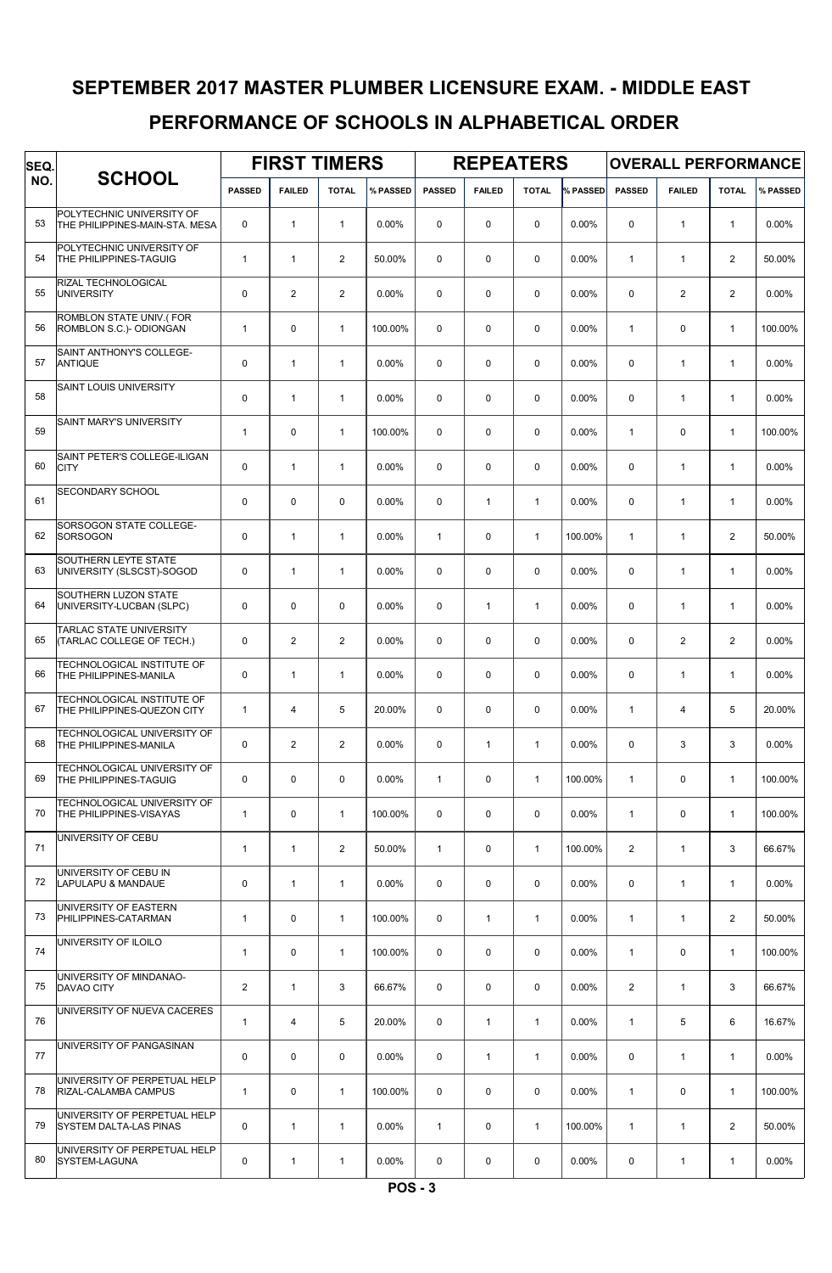# PERFORMANCE OF SCHOOLS IN ALPHABETICAL ORDER SEPTEMBER 2017 MASTER PLUMBER LICENSURE EXAM. - MIDDLE EAST

| SEQ. | <b>SCHOOL</b>                                                    | <b>FIRST TIMERS</b> |                |                |          |               | <b>REPEATERS</b> |              |          | <b>OVERALL PERFORMANCE</b> |                |                |          |  |
|------|------------------------------------------------------------------|---------------------|----------------|----------------|----------|---------------|------------------|--------------|----------|----------------------------|----------------|----------------|----------|--|
| NO.  |                                                                  | <b>PASSED</b>       | <b>FAILED</b>  | <b>TOTAL</b>   | % PASSED | <b>PASSED</b> | <b>FAILED</b>    | <b>TOTAL</b> | % PASSED | <b>PASSED</b>              | <b>FAILED</b>  | <b>TOTAL</b>   | % PASSED |  |
| 53   | POLYTECHNIC UNIVERSITY OF<br>THE PHILIPPINES-MAIN-STA. MESA      | 0                   | $\mathbf{1}$   | $\mathbf{1}$   | 0.00%    | $\Omega$      | $\mathbf 0$      | $\mathbf 0$  | 0.00%    | 0                          | $\mathbf{1}$   | $\mathbf{1}$   | 0.00%    |  |
| 54   | POLYTECHNIC UNIVERSITY OF<br>THE PHILIPPINES-TAGUIG              | $\mathbf{1}$        | $\mathbf{1}$   | $\overline{2}$ | 50.00%   | $\Omega$      | $\mathbf 0$      | $\mathbf 0$  | 0.00%    | $\mathbf{1}$               | $\mathbf{1}$   | $\overline{2}$ | 50.00%   |  |
| 55   | RIZAL TECHNOLOGICAL<br><b>UNIVERSITY</b>                         | 0                   | $\overline{2}$ | $\overline{2}$ | 0.00%    | $\mathbf 0$   | $\mathbf 0$      | $\mathbf 0$  | 0.00%    | 0                          | $\overline{2}$ | $\overline{2}$ | 0.00%    |  |
| 56   | ROMBLON STATE UNIV.(FOR<br>ROMBLON S.C.)- ODIONGAN               | $\mathbf{1}$        | $\mathbf 0$    | $\mathbf{1}$   | 100.00%  | $\mathbf 0$   | $\mathbf 0$      | $\mathbf 0$  | 0.00%    | $\mathbf{1}$               | 0              | $\mathbf{1}$   | 100.00%  |  |
| 57   | SAINT ANTHONY'S COLLEGE-<br><b>ANTIQUE</b>                       | 0                   | $\mathbf{1}$   | $\mathbf{1}$   | 0.00%    | $\mathbf 0$   | 0                | $\mathbf 0$  | 0.00%    | 0                          | $\mathbf{1}$   | $\mathbf{1}$   | 0.00%    |  |
| 58   | SAINT LOUIS UNIVERSITY                                           | 0                   | $\mathbf{1}$   | $\mathbf{1}$   | 0.00%    | $\mathbf 0$   | 0                | $\mathbf 0$  | 0.00%    | 0                          | $\mathbf{1}$   | $\mathbf{1}$   | 0.00%    |  |
| 59   | <b>SAINT MARY'S UNIVERSITY</b>                                   | $\mathbf{1}$        | $\mathbf 0$    | $\mathbf{1}$   | 100.00%  | $\mathbf 0$   | $\mathbf 0$      | $\mathbf 0$  | 0.00%    | $\mathbf{1}$               | 0              | $\mathbf{1}$   | 100.00%  |  |
| 60   | SAINT PETER'S COLLEGE-ILIGAN<br><b>CITY</b>                      | $\mathbf 0$         | $\mathbf{1}$   | $\mathbf{1}$   | 0.00%    | $\Omega$      | $\mathbf 0$      | $\Omega$     | 0.00%    | 0                          | $\mathbf{1}$   | $\mathbf{1}$   | 0.00%    |  |
| 61   | <b>SECONDARY SCHOOL</b>                                          | $\mathbf 0$         | $\Omega$       | $\mathbf 0$    | 0.00%    | $\Omega$      | $\mathbf{1}$     | $\mathbf{1}$ | 0.00%    | 0                          | $\mathbf{1}$   | $\mathbf{1}$   | 0.00%    |  |
| 62   | SORSOGON STATE COLLEGE-<br><b>SORSOGON</b>                       | 0                   | $\mathbf{1}$   | $\mathbf{1}$   | 0.00%    | $\mathbf{1}$  | $\mathbf 0$      | $\mathbf{1}$ | 100.00%  | $\mathbf{1}$               | $\mathbf{1}$   | $\overline{2}$ | 50.00%   |  |
| 63   | <b>SOUTHERN LEYTE STATE</b><br>UNIVERSITY (SLSCST)-SOGOD         | 0                   | $\mathbf{1}$   | $\mathbf{1}$   | 0.00%    | $\mathbf 0$   | $\mathbf 0$      | $\mathbf 0$  | 0.00%    | 0                          | $\mathbf{1}$   | $\mathbf{1}$   | 0.00%    |  |
| 64   | <b>SOUTHERN LUZON STATE</b><br>UNIVERSITY-LUCBAN (SLPC)          | 0                   | $\mathbf 0$    | $\mathbf 0$    | 0.00%    | $\mathbf 0$   | $\mathbf{1}$     | $\mathbf{1}$ | 0.00%    | 0                          | $\mathbf{1}$   | $\mathbf{1}$   | 0.00%    |  |
| 65   | <b>TARLAC STATE UNIVERSITY</b><br>(TARLAC COLLEGE OF TECH.)      | 0                   | $\overline{2}$ | $\overline{2}$ | 0.00%    | $\mathbf 0$   | $\mathbf 0$      | $\mathbf 0$  | 0.00%    | 0                          | $\overline{2}$ | $\overline{2}$ | 0.00%    |  |
| 66   | TECHNOLOGICAL INSTITUTE OF<br>THE PHILIPPINES-MANILA             | 0                   | $\mathbf{1}$   | $\mathbf{1}$   | 0.00%    | $\Omega$      | $\mathbf 0$      | $\mathbf 0$  | 0.00%    | 0                          | $\mathbf{1}$   | $\mathbf{1}$   | 0.00%    |  |
| 67   | <b>TECHNOLOGICAL INSTITUTE OF</b><br>THE PHILIPPINES-QUEZON CITY | $\mathbf{1}$        | $\overline{4}$ | 5              | 20.00%   | $\Omega$      | $\mathbf 0$      | $\mathbf 0$  | 0.00%    | $\mathbf{1}$               | 4              | 5              | 20.00%   |  |
| 68   | TECHNOLOGICAL UNIVERSITY OF<br>THE PHILIPPINES-MANILA            | 0                   | $\overline{2}$ | 2              | 0.00%    | $\Omega$      | $\mathbf{1}$     | $\mathbf{1}$ | 0.00%    | 0                          | 3              | 3              | 0.00%    |  |
| 69   | TECHNOLOGICAL UNIVERSITY OF<br><b>THE PHILIPPINES-TAGUIG</b>     | 0                   | 0              | 0              | 0.00%    | $\mathbf{1}$  | 0                | $\mathbf{1}$ | 100.00%  | $\mathbf{1}$               | 0              | $\mathbf{1}$   | 100.00%  |  |
| 70   | TECHNOLOGICAL UNIVERSITY OF<br><b>THE PHILIPPINES-VISAYAS</b>    | $\mathbf{1}$        | $\mathbf 0$    | $\mathbf{1}$   | 100.00%  | $\mathbf 0$   | 0                | $\mathbf 0$  | 0.00%    | $\mathbf{1}$               | 0              | $\mathbf{1}$   | 100.00%  |  |
| 71   | UNIVERSITY OF CEBU                                               | $\mathbf{1}$        | $\mathbf{1}$   | $\overline{2}$ | 50.00%   | $\mathbf{1}$  | 0                | $\mathbf{1}$ | 100.00%  | $\overline{2}$             | $\mathbf{1}$   | 3              | 66.67%   |  |
| 72   | UNIVERSITY OF CEBU IN<br>LAPULAPU & MANDAUE                      | 0                   | $\mathbf{1}$   | $\mathbf{1}$   | 0.00%    | 0             | 0                | $\mathbf 0$  | 0.00%    | 0                          | $\mathbf{1}$   | $\mathbf{1}$   | 0.00%    |  |
| 73   | UNIVERSITY OF EASTERN<br><b>PHILIPPINES-CATARMAN</b>             | $\mathbf{1}$        | $\mathbf 0$    | $\mathbf{1}$   | 100.00%  | $\mathbf 0$   | $\mathbf{1}$     | $\mathbf{1}$ | 0.00%    | $\mathbf{1}$               | $\mathbf{1}$   | $\overline{2}$ | 50.00%   |  |
| 74   | UNIVERSITY OF ILOILO                                             | $\mathbf{1}$        | $\mathbf 0$    | $\mathbf{1}$   | 100.00%  | $\mathbf 0$   | $\mathbf 0$      | $\mathbf 0$  | 0.00%    | $\mathbf{1}$               | 0              | $\mathbf{1}$   | 100.00%  |  |
| 75   | UNIVERSITY OF MINDANAO-<br>DAVAO CITY                            | $\overline{2}$      | $\mathbf{1}$   | 3              | 66.67%   | 0             | $\mathbf 0$      | $\mathbf 0$  | 0.00%    | $\overline{2}$             | $\mathbf{1}$   | 3              | 66.67%   |  |
| 76   | UNIVERSITY OF NUEVA CACERES                                      | $\mathbf{1}$        | 4              | 5              | 20.00%   | 0             | $\mathbf{1}$     | $\mathbf{1}$ | 0.00%    | $\mathbf{1}$               | 5              | 6              | 16.67%   |  |
| 77   | UNIVERSITY OF PANGASINAN                                         | 0                   | $\mathbf 0$    | 0              | $0.00\%$ | 0             | $\mathbf{1}$     | $\mathbf{1}$ | 0.00%    | 0                          | $\mathbf{1}$   | $\mathbf{1}$   | 0.00%    |  |
| 78   | UNIVERSITY OF PERPETUAL HELP<br><b>RIZAL-CALAMBA CAMPUS</b>      | $\mathbf{1}$        | $\mathbf 0$    | $\mathbf{1}$   | 100.00%  | $\mathbf 0$   | 0                | 0            | 0.00%    | $\mathbf{1}$               | 0              | $\mathbf{1}$   | 100.00%  |  |
| 79   | UNIVERSITY OF PERPETUAL HELP<br><b>SYSTEM DALTA-LAS PINAS</b>    | 0                   | $\mathbf{1}$   | $\mathbf{1}$   | $0.00\%$ | $\mathbf{1}$  | 0                | $\mathbf{1}$ | 100.00%  | $\mathbf{1}$               | $\mathbf{1}$   | $\overline{2}$ | 50.00%   |  |
| 80   | UNIVERSITY OF PERPETUAL HELP<br>SYSTEM-LAGUNA                    | 0                   | $\mathbf{1}$   | $\mathbf{1}$   | 0.00%    | 0             | 0                | 0            | 0.00%    | 0                          | $\mathbf{1}$   | $\mathbf{1}$   | $0.00\%$ |  |